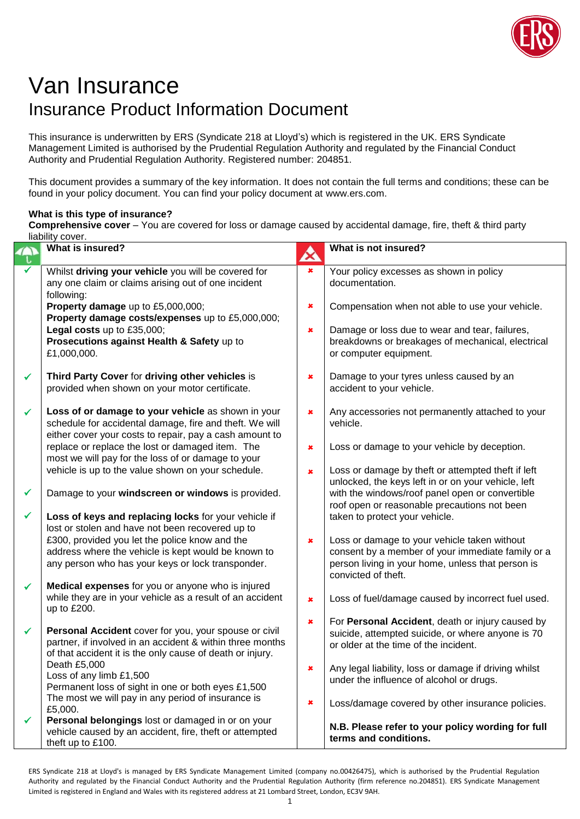

## Van Insurance Insurance Product Information Document

This insurance is underwritten by ERS (Syndicate 218 at Lloyd's) which is registered in the UK. ERS Syndicate Management Limited is authorised by the Prudential Regulation Authority and regulated by the Financial Conduct Authority and Prudential Regulation Authority. Registered number: 204851.

This document provides a summary of the key information. It does not contain the full terms and conditions; these can be found in your policy document. You can find your policy document at www.ers.com.

## **What is this type of insurance?**

**Comprehensive cover** – You are covered for loss or damage caused by accidental damage, fire, theft & third party liability cover.

|   | ilability cover.<br>What is insured?                                                                          |   | What is not insured?                                                                       |
|---|---------------------------------------------------------------------------------------------------------------|---|--------------------------------------------------------------------------------------------|
|   |                                                                                                               | A |                                                                                            |
|   | Whilst driving your vehicle you will be covered for                                                           | × | Your policy excesses as shown in policy                                                    |
|   | any one claim or claims arising out of one incident                                                           |   | documentation.                                                                             |
|   | following:                                                                                                    |   |                                                                                            |
|   | Property damage up to £5,000,000;                                                                             | × | Compensation when not able to use your vehicle.                                            |
|   | Property damage costs/expenses up to £5,000,000;<br>Legal costs up to £35,000;                                | × | Damage or loss due to wear and tear, failures,                                             |
|   | Prosecutions against Health & Safety up to                                                                    |   | breakdowns or breakages of mechanical, electrical                                          |
|   | £1,000,000.                                                                                                   |   | or computer equipment.                                                                     |
|   |                                                                                                               |   |                                                                                            |
| ✓ | Third Party Cover for driving other vehicles is                                                               | × | Damage to your tyres unless caused by an                                                   |
|   | provided when shown on your motor certificate.                                                                |   | accident to your vehicle.                                                                  |
|   |                                                                                                               |   |                                                                                            |
| ✓ | Loss of or damage to your vehicle as shown in your<br>schedule for accidental damage, fire and theft. We will | × | Any accessories not permanently attached to your<br>vehicle.                               |
|   | either cover your costs to repair, pay a cash amount to                                                       |   |                                                                                            |
|   | replace or replace the lost or damaged item. The                                                              | × | Loss or damage to your vehicle by deception.                                               |
|   | most we will pay for the loss of or damage to your                                                            |   |                                                                                            |
|   | vehicle is up to the value shown on your schedule.                                                            | × | Loss or damage by theft or attempted theft if left                                         |
|   |                                                                                                               |   | unlocked, the keys left in or on your vehicle, left                                        |
| ✓ | Damage to your windscreen or windows is provided.                                                             |   | with the windows/roof panel open or convertible                                            |
|   |                                                                                                               |   | roof open or reasonable precautions not been                                               |
| ✓ | Loss of keys and replacing locks for your vehicle if                                                          |   | taken to protect your vehicle.                                                             |
|   | lost or stolen and have not been recovered up to<br>£300, provided you let the police know and the            |   | Loss or damage to your vehicle taken without                                               |
|   | address where the vehicle is kept would be known to                                                           | × | consent by a member of your immediate family or a                                          |
|   | any person who has your keys or lock transponder.                                                             |   | person living in your home, unless that person is                                          |
|   |                                                                                                               |   | convicted of theft.                                                                        |
| ✓ | Medical expenses for you or anyone who is injured                                                             |   |                                                                                            |
|   | while they are in your vehicle as a result of an accident                                                     | × | Loss of fuel/damage caused by incorrect fuel used.                                         |
|   | up to £200.                                                                                                   |   |                                                                                            |
| ✓ | Personal Accident cover for you, your spouse or civil                                                         | × | For Personal Accident, death or injury caused by                                           |
|   | partner, if involved in an accident & within three months                                                     |   | suicide, attempted suicide, or where anyone is 70<br>or older at the time of the incident. |
|   | of that accident it is the only cause of death or injury.                                                     |   |                                                                                            |
|   | Death £5,000                                                                                                  | × | Any legal liability, loss or damage if driving whilst                                      |
|   | Loss of any limb £1,500                                                                                       |   | under the influence of alcohol or drugs.                                                   |
|   | Permanent loss of sight in one or both eyes £1,500                                                            |   |                                                                                            |
|   | The most we will pay in any period of insurance is<br>£5,000.                                                 | × | Loss/damage covered by other insurance policies.                                           |
| ✓ | Personal belongings lost or damaged in or on your                                                             |   |                                                                                            |
|   | vehicle caused by an accident, fire, theft or attempted                                                       |   | N.B. Please refer to your policy wording for full                                          |
|   | theft up to £100.                                                                                             |   | terms and conditions.                                                                      |

ERS Syndicate 218 at Lloyd's is managed by ERS Syndicate Management Limited (company no.00426475), which is authorised by the Prudential Regulation Authority and regulated by the Financial Conduct Authority and the Prudential Regulation Authority (firm reference no.204851). ERS Syndicate Management Limited is registered in England and Wales with its registered address at 21 Lombard Street, London, EC3V 9AH.